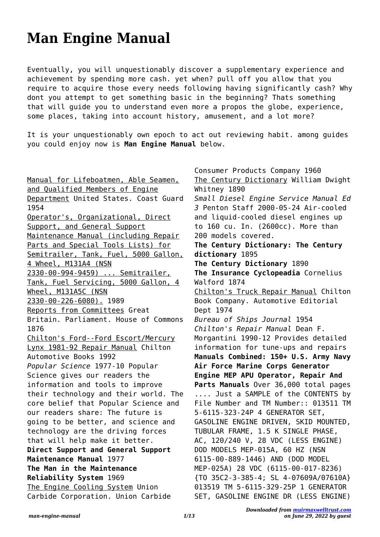## **Man Engine Manual**

Eventually, you will unquestionably discover a supplementary experience and achievement by spending more cash. yet when? pull off you allow that you require to acquire those every needs following having significantly cash? Why dont you attempt to get something basic in the beginning? Thats something that will guide you to understand even more a propos the globe, experience, some places, taking into account history, amusement, and a lot more?

It is your unquestionably own epoch to act out reviewing habit. among guides you could enjoy now is **Man Engine Manual** below.

Manual for Lifeboatmen, Able Seamen, and Qualified Members of Engine Department United States. Coast Guard 1954 Operator's, Organizational, Direct Support, and General Support Maintenance Manual (including Repair Parts and Special Tools Lists) for Semitrailer, Tank, Fuel, 5000 Gallon, 4 Wheel, M131A4 (NSN 2330-00-994-9459) ... Semitrailer, Tank, Fuel Servicing, 5000 Gallon, 4 Wheel, M131A5C (NSN 2330-00-226-6080). 1989 Reports from Committees Great Britain. Parliament. House of Commons 1876 Chilton's Ford--Ford Escort/Mercury Lynx 1981-92 Repair Manual Chilton Automotive Books 1992 *Popular Science* 1977-10 Popular Science gives our readers the information and tools to improve their technology and their world. The core belief that Popular Science and our readers share: The future is going to be better, and science and technology are the driving forces that will help make it better. **Direct Support and General Support Maintenance Manual** 1977 **The Man in the Maintenance Reliability System** 1969 The Engine Cooling System Union Carbide Corporation. Union Carbide

Consumer Products Company 1960 The Century Dictionary William Dwight Whitney 1890 *Small Diesel Engine Service Manual Ed 3* Penton Staff 2000-05-24 Air-cooled and liquid-cooled diesel engines up to 160 cu. In. (2600cc). More than 200 models covered. **The Century Dictionary: The Century dictionary** 1895 **The Century Dictionary** 1890 **The Insurance Cyclopeadia** Cornelius Walford 1874 Chilton's Truck Repair Manual Chilton Book Company. Automotive Editorial Dept 1974 *Bureau of Ships Journal* 1954 *Chilton's Repair Manual* Dean F. Morgantini 1990-12 Provides detailed information for tune-ups and repairs **Manuals Combined: 150+ U.S. Army Navy Air Force Marine Corps Generator Engine MEP APU Operator, Repair And Parts Manuals** Over 36,000 total pages .... Just a SAMPLE of the CONTENTS by File Number and TM Number:: 013511 TM 5-6115-323-24P 4 GENERATOR SET, GASOLINE ENGINE DRIVEN, SKID MOUNTED, TUBULAR FRAME, 1.5 K SINGLE PHASE, AC, 120/240 V, 28 VDC (LESS ENGINE) DOD MODELS MEP-015A, 60 HZ (NSN 6115-00-889-1446) AND (DOD MODEL MEP-025A) 28 VDC (6115-00-017-8236) {TO 35C2-3-385-4; SL 4-07609A/07610A} 013519 TM 5-6115-329-25P 1 GENERATOR SET, GASOLINE ENGINE DR (LESS ENGINE)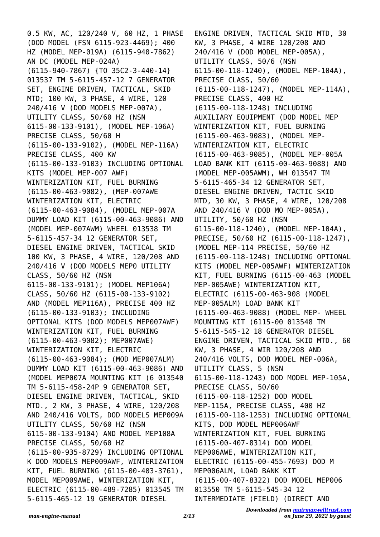0.5 KW, AC, 120/240 V, 60 HZ, 1 PHASE (DOD MODEL (FSN 6115-923-4469); 400 HZ (MODEL MEP-019A) (6115-940-7862) AN DC (MODEL MEP-024A) (6115-940-7867) {TO 35C2-3-440-14} 013537 TM 5-6115-457-12 7 GENERATOR SET, ENGINE DRIVEN, TACTICAL, SKID MTD; 100 KW, 3 PHASE, 4 WIRE, 120 240/416 V (DOD MODELS MEP-007A), UTILITY CLASS, 50/60 HZ (NSN 6115-00-133-9101), (MODEL MEP-106A) PRECISE CLASS, 50/60 H (6115-00-133-9102), (MODEL MEP-116A) PRECISE CLASS, 400 KW (6115-00-133-9103) INCLUDING OPTIONAL KITS (MODEL MEP-007 AWF) WINTERIZATION KIT, FUEL BURNING (6115-00-463-9082), (MEP-007AWE WINTERIZATION KIT, ELECTRIC (6115-00-463-9084), (MODEL MEP-007A DUMMY LOAD KIT (6115-00-463-9086) AND (MODEL MEP-007AWM) WHEEL 013538 TM 5-6115-457-34 12 GENERATOR SET, DIESEL ENGINE DRIVEN, TACTICAL SKID 100 KW, 3 PHASE, 4 WIRE, 120/208 AND 240/416 V (DOD MODELS MEP0 UTILITY CLASS, 50/60 HZ (NSN 6115-00-133-9101); (MODEL MEP106A) CLASS, 50/60 HZ (6115-00-133-9102) AND (MODEL MEP116A), PRECISE 400 HZ (6115-00-133-9103); INCLUDING OPTIONAL KITS (DOD MODELS MEP007AWF) WINTERIZATION KIT, FUEL BURNING (6115-00-463-9082); MEP007AWE) WINTERIZATION KIT, ELECTRIC (6115-00-463-9084); (MOD MEP007ALM) DUMMY LOAD KIT (6115-00-463-9086) AND (MODEL MEP007A MOUNTING KIT (6 013540 TM 5-6115-458-24P 9 GENERATOR SET, DIESEL ENGINE DRIVEN, TACTICAL, SKID MTD., 2 KW, 3 PHASE, 4 WIRE, 120/208 AND 240/416 VOLTS, DOD MODELS MEP009A UTILITY CLASS, 50/60 HZ (NSN 6115-00-133-9104) AND MODEL MEP108A PRECISE CLASS, 50/60 HZ (6115-00-935-8729) INCLUDING OPTIONAL K DOD MODELS MEP009AWF, WINTERIZATION KIT, FUEL BURNING (6115-00-403-3761), MODEL MEP009AWE, WINTERIZATION KIT, ELECTRIC (6115-00-489-7285) 013545 TM 5-6115-465-12 19 GENERATOR DIESEL

ENGINE DRIVEN, TACTICAL SKID MTD, 30 KW, 3 PHASE, 4 WIRE 120/208 AND 240/416 V (DOD MODEL MEP-005A), UTILITY CLASS, 50/6 (NSN 6115-00-118-1240), (MODEL MEP-104A), PRECISE CLASS, 50/60 (6115-00-118-1247), (MODEL MEP-114A), PRECISE CLASS, 400 HZ (6115-00-118-1248) INCLUDING AUXILIARY EQUIPMENT (DOD MODEL MEP WINTERIZATION KIT, FUEL BURNING (6115-00-463-9083), (MODEL MEP-WINTERIZATION KIT, ELECTRIC (6115-00-463-9085), (MODEL MEP-005A LOAD BANK KIT (6115-00-463-9088) AND (MODEL MEP-005AWM), WH 013547 TM 5-6115-465-34 12 GENERATOR SET, DIESEL ENGINE DRIVEN, TACTIC SKID MTD, 30 KW, 3 PHASE, 4 WIRE, 120/208 AND 240/416 V (DOD MO MEP-005A), UTILITY, 50/60 HZ (NSN 6115-00-118-1240), (MODEL MEP-104A), PRECISE, 50/60 HZ (6115-00-118-1247), (MODEL MEP-114 PRECISE, 50/60 HZ (6115-00-118-1248) INCLUDING OPTIONAL KITS (MODEL MEP-005AWF) WINTERIZATION KIT, FUEL BURNING (6115-00-463 (MODEL MEP-005AWE) WINTERIZATION KIT, ELECTRIC (6115-00-463-908 (MODEL MEP-005ALM) LOAD BANK KIT (6115-00-463-9088) (MODEL MEP- WHEEL MOUNTING KIT (6115-00 013548 TM 5-6115-545-12 18 GENERATOR DIESEL ENGINE DRIVEN, TACTICAL SKID MTD., 60 KW, 3 PHASE, 4 WIR 120/208 AND 240/416 VOLTS, DOD MODEL MEP-006A, UTILITY CLASS, 5 (NSN 6115-00-118-1243) DOD MODEL MEP-105A, PRECISE CLASS, 50/60 (6115-00-118-1252) DOD MODEL MEP-115A, PRECISE CLASS, 400 HZ (6115-00-118-1253) INCLUDING OPTIONAL KITS, DOD MODEL MEP006AWF WINTERIZATION KIT, FUEL BURNING (6115-00-407-8314) DOD MODEL MEP006AWE, WINTERIZATION KIT, ELECTRIC (6115-00-455-7693) DOD M MEP006ALM, LOAD BANK KIT (6115-00-407-8322) DOD MODEL MEP006 013550 TM 5-6115-545-34 12 INTERMEDIATE (FIELD) (DIRECT AND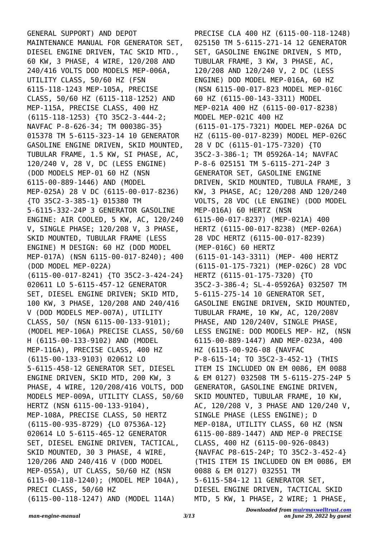GENERAL SUPPORT) AND DEPOT MAINTENANCE MANUAL FOR GENERATOR SET, DIESEL ENGINE DRIVEN, TAC SKID MTD., 60 KW, 3 PHASE, 4 WIRE, 120/208 AND 240/416 VOLTS DOD MODELS MEP-006A, UTILITY CLASS, 50/60 HZ (FSN 6115-118-1243 MEP-105A, PRECISE CLASS, 50/60 HZ (6115-118-1252) AND MEP-115A, PRECISE CLASS, 400 HZ (6115-118-1253) {TO 35C2-3-444-2; NAVFAC P-8-626-34; TM 00038G-35} 015378 TM 5-6115-323-14 10 GENERATOR GASOLINE ENGINE DRIVEN, SKID MOUNTED, TUBULAR FRAME, 1.5 KW, SI PHASE, AC, 120/240 V, 28 V, DC (LESS ENGINE) (DOD MODELS MEP-01 60 HZ (NSN 6115-00-889-1446) AND (MODEL MEP-025A) 28 V DC (6115-00-017-8236) {TO 35C2-3-385-1} 015380 TM 5-6115-332-24P 3 GENERATOR GASOLINE ENGINE: AIR COOLED, 5 KW, AC, 120/240 V, SINGLE PHASE; 120/208 V, 3 PHASE, SKID MOUNTED, TUBULAR FRAME (LESS ENGINE) M DESIGN: 60 HZ (DOD MODEL MEP-017A) (NSN 6115-00-017-8240); 400 (DOD MODEL MEP-022A) (6115-00-017-8241) {TO 35C2-3-424-24} 020611 LO 5-6115-457-12 GENERATOR SET, DIESEL ENGINE DRIVEN; SKID MTD, 100 KW, 3 PHASE, 120/208 AND 240/416 V (DOD MODELS MEP-007A), UTILITY CLASS, 50/ (NSN 6115-00-133-9101); (MODEL MEP-106A) PRECISE CLASS, 50/60 H (6115-00-133-9102) AND (MODEL MEP-116A), PRECISE CLASS, 400 HZ (6115-00-133-9103) 020612 LO 5-6115-458-12 GENERATOR SET, DIESEL ENGINE DRIVEN, SKID MTD, 200 KW, 3 PHASE, 4 WIRE, 120/208/416 VOLTS, DOD MODELS MEP-009A, UTILITY CLASS, 50/60 HERTZ (NSN 6115-00-133-9104), MEP-108A, PRECISE CLASS, 50 HERTZ (6115-00-935-8729) {LO 07536A-12} 020614 LO 5-6115-465-12 GENERATOR SET, DIESEL ENGINE DRIVEN, TACTICAL, SKID MOUNTED, 30 3 PHASE, 4 WIRE, 120/206 AND 240/416 V (DOD MODEL MEP-055A), UT CLASS, 50/60 HZ (NSN 6115-00-118-1240); (MODEL MEP 104A), PRECI CLASS, 50/60 HZ (6115-00-118-1247) AND (MODEL 114A)

PRECISE CLA 400 HZ (6115-00-118-1248) 025150 TM 5-6115-271-14 12 GENERATOR SET, GASOLINE ENGINE DRIVEN, S MTD, TUBULAR FRAME, 3 KW, 3 PHASE, AC, 120/208 AND 120/240 V, 2 DC (LESS ENGINE) DOD MODEL MEP-016A, 60 HZ (NSN 6115-00-017-823 MODEL MEP-016C 60 HZ (6115-00-143-3311) MODEL MEP-021A 400 HZ (6115-00-017-8238) MODEL MEP-021C 400 HZ (6115-01-175-7321) MODEL MEP-026A DC HZ (6115-00-017-8239) MODEL MEP-026C 28 V DC (6115-01-175-7320) {TO 35C2-3-386-1; TM 05926A-14; NAVFAC P-8-6 025151 TM 5-6115-271-24P 3 GENERATOR SET, GASOLINE ENGINE DRIVEN, SKID MOUNTED, TUBULA FRAME, 3 KW, 3 PHASE, AC; 120/208 AND 120/240 VOLTS, 28 VDC (LE ENGINE) (DOD MODEL MEP-016A) 60 HERTZ (NSN 6115-00-017-8237) (MEP-021A) 400 HERTZ (6115-00-017-8238) (MEP-026A) 28 VDC HERTZ (6115-00-017-8239) (MEP-016C) 60 HERTZ (6115-01-143-3311) (MEP- 400 HERTZ (6115-01-175-7321) (MEP-026C) 28 VDC HERTZ (6115-01-175-7320) {TO 35C2-3-386-4; SL-4-05926A} 032507 TM 5-6115-275-14 10 GENERATOR SET, GASOLINE ENGINE DRIVEN, SKID MOUNTED, TUBULAR FRAME, 10 KW, AC, 120/208V PHASE, AND 120/240V, SINGLE PHASE, LESS ENGINE: DOD MODELS MEP- HZ, (NSN 6115-00-889-1447) AND MEP-023A, 400 HZ (6115-00-926-08 {NAVFAC P-8-615-14; TO 35C2-3-452-1} (THIS ITEM IS INCLUDED ON EM 0086, EM 0088 & EM 0127) 032508 TM 5-6115-275-24P 5 GENERATOR, GASOLINE ENGINE DRIVEN, SKID MOUNTED, TUBULAR FRAME, 10 KW, AC, 120/208 V, 3 PHASE AND 120/240 V, SINGLE PHASE (LESS ENGINE); D MEP-018A, UTILITY CLASS, 60 HZ (NSN 6115-00-889-1447) AND MEP-0 PRECISE CLASS, 400 HZ (6115-00-926-0843) {NAVFAC P8-615-24P; TO 35C2-3-452-4} (THIS ITEM IS INCLUDED ON EM 0086, EM 0088 & EM 0127) 032551 TM 5-6115-584-12 11 GENERATOR SET, DIESEL ENGINE DRIVEN, TACTICAL SKID MTD, 5 KW, 1 PHASE, 2 WIRE; 1 PHASE,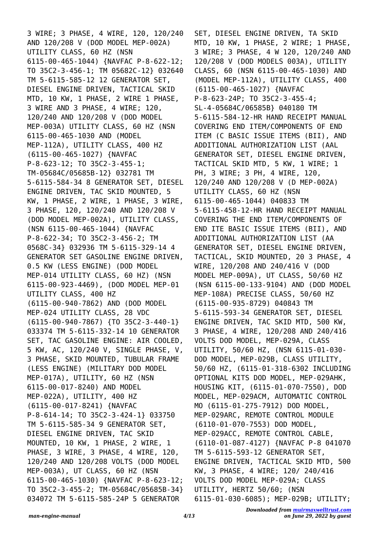3 WIRE; 3 PHASE, 4 WIRE, 120, 120/240 AND 120/208 V (DOD MODEL MEP-002A) UTILITY CLASS, 60 HZ (NSN 6115-00-465-1044) {NAVFAC P-8-622-12; TO 35C2-3-456-1; TM 05682C-12} 032640 TM 5-6115-585-12 12 GENERATOR SET, DIESEL ENGINE DRIVEN, TACTICAL SKID MTD, 10 KW, 1 PHASE, 2 WIRE 1 PHASE, 3 WIRE AND 3 PHASE, 4 WIRE; 120, 120/240 AND 120/208 V (DOD MODEL MEP-003A) UTILITY CLASS, 60 HZ (NSN 6115-00-465-1030 AND (MODEL MEP-112A), UTILITY CLASS, 400 HZ (6115-00-465-1027) {NAVFAC P-8-623-12; TO 35C2-3-455-1; TM-05684C/05685B-12} 032781 TM 5-6115-584-34 8 GENERATOR SET, DIESEL ENGINE DRIVEN, TAC SKID MOUNTED, 5 KW, 1 PHASE, 2 WIRE, 1 PHASE, 3 WIRE, 3 PHASE, 120, 120/240 AND 120/208 V (DOD MODEL MEP-002A), UTILITY CLASS, (NSN 6115-00-465-1044) {NAVFAC P-8-622-34; TO 35C2-3-456-2; TM 0568C-34} 032936 TM 5-6115-329-14 4 GENERATOR SET GASOLINE ENGINE DRIVEN, 0.5 KW (LESS ENGINE) (DOD MODEL MEP-014 UTILITY CLASS, 60 HZ) (NSN 6115-00-923-4469), (DOD MODEL MEP-01 UTILITY CLASS, 400 HZ (6115-00-940-7862) AND (DOD MODEL MEP-024 UTILITY CLASS, 28 VDC (6115-00-940-7867) {TO 35C2-3-440-1} 033374 TM 5-6115-332-14 10 GENERATOR SET, TAC GASOLINE ENGINE: AIR COOLED, 5 KW, AC, 120/240 V, SINGLE PHASE, V, 3 PHASE, SKID MOUNTED, TUBULAR FRAME (LESS ENGINE) (MILITARY DOD MODEL MEP-017A), UTILITY, 60 HZ (NSN 6115-00-017-8240) AND MODEL MEP-022A), UTILITY, 400 HZ (6115-00-017-8241) {NAVFAC P-8-614-14; TO 35C2-3-424-1} 033750 TM 5-6115-585-34 9 GENERATOR SET, DIESEL ENGINE DRIVEN, TAC SKID MOUNTED, 10 KW, 1 PHASE, 2 WIRE, 1 PHASE, 3 WIRE, 3 PHASE, 4 WIRE, 120, 120/240 AND 120/208 VOLTS (DOD MODEL MEP-003A), UT CLASS, 60 HZ (NSN 6115-00-465-1030) {NAVFAC P-8-623-12; TO 35C2-3-455-2; TM-05684C/05685B-34} 034072 TM 5-6115-585-24P 5 GENERATOR

SET, DIESEL ENGINE DRIVEN, TA SKID MTD, 10 KW, 1 PHASE, 2 WIRE; 1 PHASE, 3 WIRE; 3 PHASE, 4 W 120, 120/240 AND 120/208 V (DOD MODELS 003A), UTILITY CLASS, 60 (NSN 6115-00-465-1030) AND (MODEL MEP-112A), UTILITY CLASS, 400 (6115-00-465-1027) {NAVFAC P-8-623-24P; TO 35C2-3-455-4; SL-4-05684C/06585B} 040180 TM 5-6115-584-12-HR HAND RECEIPT MANUAL COVERING END ITEM/COMPONENTS OF END ITEM (C BASIC ISSUE ITEMS (BII), AND ADDITIONAL AUTHORIZATION LIST (AAL GENERATOR SET, DIESEL ENGINE DRIVEN, TACTICAL SKID MTD, 5 KW, 1 WIRE; 1 PH, 3 WIRE; 3 PH, 4 WIRE, 120, 120/240 AND 120/208 V (D MEP-002A) UTILITY CLASS, 60 HZ (NSN 6115-00-465-1044) 040833 TM 5-6115-458-12-HR HAND RECEIPT MANUAL COVERING THE END ITEM/COMPONENTS OF END ITE BASIC ISSUE ITEMS (BII), AND ADDITIONAL AUTHORIZATION LIST (AA GENERATOR SET, DIESEL ENGINE DRIVEN, TACTICAL, SKID MOUNTED, 20 3 PHASE, 4 WIRE, 120/208 AND 240/416 V (DOD MODEL MEP-009A), UT CLASS, 50/60 HZ (NSN 6115-00-133-9104) AND (DOD MODEL MEP-108A) PRECISE CLASS, 50/60 HZ (6115-00-935-8729) 040843 TM 5-6115-593-34 GENERATOR SET, DIESEL ENGINE DRIVEN, TAC SKID MTD, 500 KW, 3 PHASE, 4 WIRE, 120/208 AND 240/416 VOLTS DOD MODEL, MEP-029A, CLASS UTILITY, 50/60 HZ, (NSN 6115-01-030- DOD MODEL, MEP-029B, CLASS UTILITY, 50/60 HZ, (6115-01-318-6302 INCLUDING OPTIONAL KITS DOD MODEL, MEP-029AHK, HOUSING KIT, (6115-01-070-7550), DOD MODEL, MEP-029ACM, AUTOMATIC CONTROL MO (6115-01-275-7912) DOD MODEL, MEP-029ARC, REMOTE CONTROL MODULE (6110-01-070-7553) DOD MODEL, MEP-029ACC, REMOTE CONTROL CABLE, (6110-01-087-4127) {NAVFAC P-8 041070 TM 5-6115-593-12 GENERATOR SET, ENGINE DRIVEN, TACTICAL SKID MTD, 500 KW, 3 PHASE, 4 WIRE; 120/ 240/416 VOLTS DOD MODEL MEP-029A; CLASS UTILITY, HERTZ 50/60; (NSN 6115-01-030-6085); MEP-029B; UTILITY;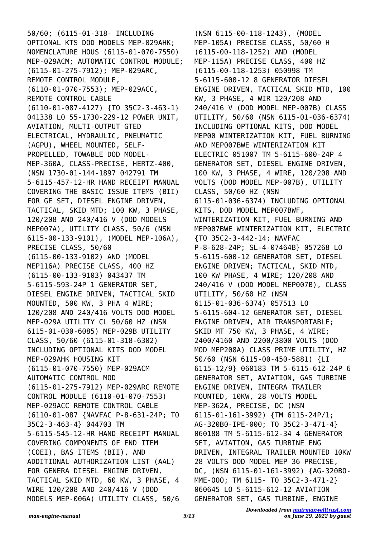50/60; (6115-01-318- INCLUDING OPTIONAL KTS DOD MODELS MEP-029AHK; NOMENCLATURE HOUS (6115-01-070-7550) MEP-029ACM; AUTOMATIC CONTROL MODULE; (6115-01-275-7912); MEP-029ARC, REMOTE CONTROL MODULE, (6110-01-070-7553); MEP-029ACC, REMOTE CONTROL CABLE (6110-01-087-4127) {TO 35C2-3-463-1} 041338 LO 55-1730-229-12 POWER UNIT, AVIATION, MULTI-OUTPUT GTED ELECTRICAL, HYDRAULIC, PNEUMATIC (AGPU), WHEEL MOUNTED, SELF-PROPELLED, TOWABLE DOD MODEL-MEP-360A, CLASS-PRECISE, HERTZ-400, (NSN 1730-01-144-1897 042791 TM 5-6115-457-12-HR HAND RECEIPT MANUAL COVERING THE BASIC ISSUE ITEMS (BII) FOR GE SET, DIESEL ENGINE DRIVEN, TACTICAL, SKID MTD; 100 KW, 3 PHASE, 120/208 AND 240/416 V (DOD MODELS MEP007A), UTILITY CLASS, 50/6 (NSN 6115-00-133-9101), (MODEL MEP-106A), PRECISE CLASS, 50/60 (6115-00-133-9102) AND (MODEL MEP116A) PRECISE CLASS, 400 HZ (6115-00-133-9103) 043437 TM 5-6115-593-24P 1 GENERATOR SET, DIESEL ENGINE DRIVEN, TACTICAL SKID MOUNTED, 500 KW, 3 PHA 4 WIRE; 120/208 AND 240/416 VOLTS DOD MODEL MEP-029A UTILITY CL 50/60 HZ (NSN 6115-01-030-6085) MEP-029B UTILITY CLASS, 50/60 (6115-01-318-6302) INCLUDING OPTIONAL KITS DOD MODEL MEP-029AHK HOUSING KIT (6115-01-070-7550) MEP-029ACM AUTOMATIC CONTROL MOD (6115-01-275-7912) MEP-029ARC REMOTE CONTROL MODULE (6110-01-070-7553) MEP-029ACC REMOTE CONTROL CABLE (6110-01-087 {NAVFAC P-8-631-24P; TO 35C2-3-463-4} 044703 TM 5-6115-545-12-HR HAND RECEIPT MANUAL COVERING COMPONENTS OF END ITEM (COEI), BAS ITEMS (BII), AND ADDITIONAL AUTHORIZATION LIST (AAL) FOR GENERA DIESEL ENGINE DRIVEN, TACTICAL SKID MTD, 60 KW, 3 PHASE, 4 WIRE 120/208 AND 240/416 V (DOD MODELS MEP-006A) UTILITY CLASS, 50/6

(NSN 6115-00-118-1243), (MODEL MEP-105A) PRECISE CLASS, 50/60 H (6115-00-118-1252) AND (MODEL MEP-115A) PRECISE CLASS, 400 HZ (6115-00-118-1253) 050998 TM 5-6115-600-12 8 GENERATOR DIESEL ENGINE DRIVEN, TACTICAL SKID MTD, 100 KW, 3 PHASE, 4 WIR 120/208 AND 240/416 V (DOD MODEL MEP-007B) CLASS UTILITY, 50/60 (NSN 6115-01-036-6374) INCLUDING OPTIONAL KITS, DOD MODEL MEP00 WINTERIZATION KIT, FUEL BURNING AND MEP007BWE WINTERIZATION KIT ELECTRIC 051007 TM 5-6115-600-24P 4 GENERATOR SET, DIESEL ENGINE DRIVEN, 100 KW, 3 PHASE, 4 WIRE, 120/208 AND VOLTS (DOD MODEL MEP-007B), UTILITY CLASS, 50/60 HZ (NSN 6115-01-036-6374) INCLUDING OPTIONAL KITS, DOD MODEL MEP007BWF, WINTERIZATION KIT, FUEL BURNING AND MEP007BWE WINTERIZATION KIT, ELECTRIC {TO 35C2-3-442-14; NAVFAC P-8-628-24P; SL-4-07464B} 057268 LO 5-6115-600-12 GENERATOR SET, DIESEL ENGINE DRIVEN; TACTICAL, SKID MTD, 100 KW PHASE, 4 WIRE; 120/208 AND 240/416 V (DOD MODEL MEP007B), CLASS UTILITY, 50/60 HZ (NSN 6115-01-036-6374) 057513 LO 5-6115-604-12 GENERATOR SET, DIESEL ENGINE DRIVEN, AIR TRANSPORTABLE; SKID MT 750 KW, 3 PHASE, 4 WIRE; 2400/4160 AND 2200/3800 VOLTS (DOD MOD MEP208A) CLASS PRIME UTILITY, HZ 50/60 (NSN 6115-00-450-5881) {LI 6115-12/9} 060183 TM 5-6115-612-24P 6 GENERATOR SET, AVIATION, GAS TURBINE ENGINE DRIVEN, INTEGRA TRAILER MOUNTED, 10KW, 28 VOLTS MODEL MEP-362A, PRECISE, DC (NSN 6115-01-161-3992) {TM 6115-24P/1; AG-320B0-IPE-000; TO 35C2-3-471-4} 060188 TM 5-6115-612-34 4 GENERATOR SET, AVIATION, GAS TURBINE ENG DRIVEN, INTEGRAL TRAILER MOUNTED 10KW 28 VOLTS DOD MODEL MEP 36 PRECISE, DC, (NSN 6115-01-161-3992) {AG-320BO-MME-OOO; TM 6115- TO 35C2-3-471-2} 060645 LO 5-6115-612-12 AVIATION GENERATOR SET, GAS TURBINE, ENGINE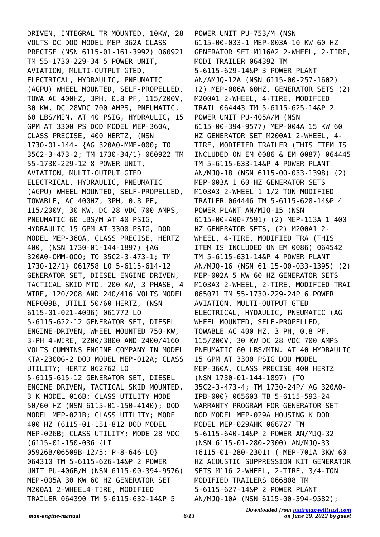DRIVEN, INTEGRAL TR MOUNTED, 10KW, 28 VOLTS DC DOD MODEL MEP 362A CLASS PRECISE (NSN 6115-01-161-3992) 060921 TM 55-1730-229-34 5 POWER UNIT, AVIATION, MULTI-OUTPUT GTED, ELECTRICAL, HYDRAULIC, PNEUMATIC (AGPU) WHEEL MOUNTED, SELF-PROPELLED, TOWA AC 400HZ, 3PH, 0.8 PF, 115/200V, 30 KW, DC 28VDC 700 AMPS, PNEUMATIC, 60 LBS/MIN. AT 40 PSIG, HYDRAULIC, 15 GPM AT 3300 PS DOD MODEL MEP-360A, CLASS PRECISE, 400 HERTZ, (NSN 1730-01-144- {AG 320A0-MME-000; TO 35C2-3-473-2; TM 1730-34/1} 060922 TM 55-1730-229-12 8 POWER UNIT, AVIATION, MULTI-OUTPUT GTED ELECTRICAL, HYDRAULIC, PNEUMATIC (AGPU) WHEEL MOUNTED, SELF-PROPELLED, TOWABLE, AC 400HZ, 3PH, 0.8 PF, 115/200V, 30 KW, DC 28 VDC 700 AMPS, PNEUMATIC 60 LBS/M AT 40 PSIG, HYDRAULIC 15 GPM AT 3300 PSIG, DOD MODEL MEP-360A, CLASS PRECISE, HERTZ 400, (NSN 1730-01-144-1897) {AG 320A0-OMM-OOO; TO 35C2-3-473-1; TM 1730-12/1} 061758 LO 5-6115-614-12 GENERATOR SET, DIESEL ENGINE DRIVEN, TACTICAL SKID MTD. 200 KW, 3 PHASE, 4 WIRE, 120/208 AND 240/416 VOLTS MODEL MEP009B, UTILI 50/60 HERTZ, (NSN 6115-01-021-4096) 061772 LO 5-6115-622-12 GENERATOR SET, DIESEL ENGINE-DRIVEN, WHEEL MOUNTED 750-KW, 3-PH 4-WIRE, 2200/3800 AND 2400/4160 VOLTS CUMMINS ENGINE COMPANY IN MODEL KTA-2300G-2 DOD MODEL MEP-012A; CLASS UTILITY; HERTZ 062762 LO 5-6115-615-12 GENERATOR SET, DIESEL ENGINE DRIVEN, TACTICAL SKID MOUNTED, 3 K MODEL 016B; CLASS UTILITY MODE 50/60 HZ (NSN 6115-01-150-4140); DOD MODEL MEP-021B; CLASS UTILITY; MODE 400 HZ (6115-01-151-812 DOD MODEL MEP-026B; CLASS UTILITY; MODE 28 VDC (6115-01-150-036 {LI 05926B/06509B-12/5; P-8-646-LO} 064310 TM 5-6115-626-14&P 2 POWER UNIT PU-406B/M (NSN 6115-00-394-9576) MEP-005A 30 KW 60 HZ GENERATOR SET M200A1 2-WHEEL4-TIRE, MODIFIED TRAILER 064390 TM 5-6115-632-14&P 5

POWER UNIT PU-753/M (NSN 6115-00-033-1 MEP-003A 10 KW 60 HZ GENERATOR SET M116A2 2-WHEEL, 2-TIRE, MODI TRAILER 064392 TM 5-6115-629-14&P 3 POWER PLANT AN/AMJQ-12A (NSN 6115-00-257-1602) (2) MEP-006A 60HZ, GENERATOR SETS (2) M200A1 2-WHEEL, 4-TIRE, MODIFIED TRAIL 064443 TM 5-6115-625-14&P 2 POWER UNIT PU-405A/M (NSN 6115-00-394-9577) MEP-004A 15 KW 60 HZ GENERATOR SET M200A1 2-WHEEL, 4- TIRE, MODIFIED TRAILER (THIS ITEM IS INCLUDED ON EM 0086 & EM 0087) 064445 TM 5-6115-633-14&P 4 POWER PLANT AN/MJQ-18 (NSN 6115-00-033-1398) (2) MEP-003A 1 60 HZ GENERATOR SETS M103A3 2-WHEEL 1 1/2 TON MODIFIED TRAILER 064446 TM 5-6115-628-14&P 4 POWER PLANT AN/MJQ-15 (NSN 6115-00-400-7591) (2) MEP-113A 1 400 HZ GENERATOR SETS, (2) M200A1 2- WHEEL, 4-TIRE, MODIFIED TRA (THIS ITEM IS INCLUDED ON EM 0086) 064542 TM 5-6115-631-14&P 4 POWER PLANT AN/MJQ-16 (NSN 61 15-00-033-1395) (2) MEP-002A 5 KW 60 HZ GENERATOR SETS M103A3 2-WHEEL, 2-TIRE, MODIFIED TRAI 065071 TM 55-1730-229-24P 6 POWER AVIATION, MULTI-OUTPUT GTED ELECTRICAL, HYDAULIC, PNEUMATIC (AG WHEEL MOUNTED, SELF-PROPELLED, TOWABLE AC 400 HZ, 3 PH, 0.8 PF, 115/200V, 30 KW DC 28 VDC 700 AMPS PNEUMATIC 60 LBS/MIN. AT 40 HYDRAULIC 15 GPM AT 3300 PSIG DOD MODEL MEP-360A, CLASS PRECISE 400 HERTZ (NSN 1730-01-144-1897) {TO 35C2-3-473-4; TM 1730-24P/ AG 320A0- IPB-000} 065603 TB 5-6115-593-24 WARRANTY PROGRAM FOR GENERATOR SET DOD MODEL MEP-029A HOUSING K DOD MODEL MEP-029AHK 066727 TM 5-6115-640-14&P 2 POWER AN/MJQ-32 (NSN 6115-01-280-2300) AN/MJQ-33 (6115-01-280-2301) ( MEP-701A 3KW 60 HZ ACOUSTIC SUPPRESSION KIT GENERATOR SETS M116 2-WHEEL, 2-TIRE, 3/4-TON MODIFIED TRAILERS 066808 TM 5-6115-627-14&P 2 POWER PLANT AN/MJQ-10A (NSN 6115-00-394-9582);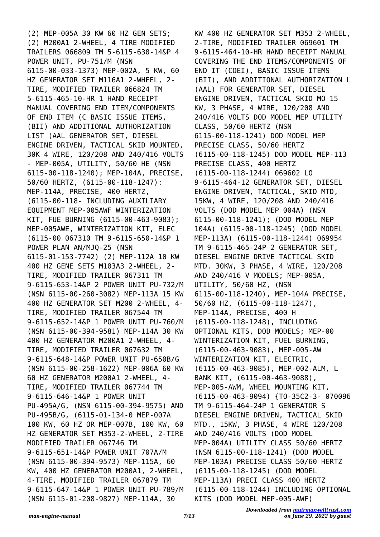(2) MEP-005A 30 KW 60 HZ GEN SETS; (2) M200A1 2-WHEEL, 4 TIRE MODIFIED TRAILERS 066809 TM 5-6115-630-14&P 4 POWER UNIT, PU-751/M (NSN 6115-00-033-1373) MEP-002A, 5 KW, 60 HZ GENERATOR SET M116A1 2-WHEEL, 2- TIRE, MODIFIED TRAILER 066824 TM 5-6115-465-10-HR 1 HAND RECEIPT MANUAL COVERING END ITEM/COMPONENTS OF END ITEM (C BASIC ISSUE ITEMS, (BII) AND ADDITIONAL AUTHORIZATION LIST (AAL GENERATOR SET, DIESEL ENGINE DRIVEN, TACTICAL SKID MOUNTED, 30K 4 WIRE, 120/208 AND 240/416 VOLTS - MEP-005A, UTILITY, 50/60 HE (NSN 6115-00-118-1240); MEP-104A, PRECISE, 50/60 HERTZ, (6115-00-118-1247): MEP-114A, PRECISE, 400 HERTZ, (6115-00-118- INCLUDING AUXILIARY EQUIPMENT MEP-005AWF WINTERIZATION KIT, FUE BURNING (6115-00-463-9083); MEP-005AWE, WINTERIZATION KIT, ELEC (6115-00 067310 TM 9-6115-650-14&P 1 POWER PLAN AN/MJQ-25 (NSN 6115-01-153-7742) (2) MEP-112A 10 KW 400 HZ GENE SETS M103A3 2-WHEEL, 2- TIRE, MODIFIED TRAILER 067311 TM 9-6115-653-14&P 2 POWER UNIT PU-732/M (NSN 6115-00-260-3082) MEP-113A 15 KW 400 HZ GENERATOR SET M200 2-WHEEL, 4- TIRE, MODIFIED TRAILER 067544 TM 9-6115-652-14&P 1 POWER UNIT PU-760/M (NSN 6115-00-394-9581) MEP-114A 30 KW 400 HZ GENERATOR M200A1 2-WHEEL, 4- TIRE, MODIFIED TRAILER 067632 TM 9-6115-648-14&P POWER UNIT PU-650B/G (NSN 6115-00-258-1622) MEP-006A 60 KW 60 HZ GENERATOR M200A1 2-WHEEL, 4- TIRE, MODIFIED TRAILER 067744 TM 9-6115-646-14&P 1 POWER UNIT PU-495A/G, (NSN 6115-00-394-9575) AND PU-495B/G, (6115-01-134-0 MEP-007A 100 KW, 60 HZ OR MEP-007B, 100 KW, 60 HZ GENERATOR SET M353-2-WHEEL, 2-TIRE MODIFIED TRAILER 067746 TM 9-6115-651-14&P POWER UNIT 707A/M (NSN 6115-00-394-9573) MEP-115A, 60 KW, 400 HZ GENERATOR M200A1, 2-WHEEL, 4-TIRE, MODIFIED TRAILER 067879 TM 9-6115-647-14&P 1 POWER UNIT PU-789/M (NSN 6115-01-208-9827) MEP-114A, 30

KW 400 HZ GENERATOR SET M353 2-WHEEL, 2-TIRE, MODIFIED TRAILER 069601 TM 9-6115-464-10-HR HAND RECEIPT MANUAL COVERING THE END ITEMS/COMPONENTS OF END IT (COEI), BASIC ISSUE ITEMS (BII), AND ADDITIONAL AUTHORIZATION L (AAL) FOR GENERATOR SET, DIESEL ENGINE DRIVEN, TACTICAL SKID MO 15 KW, 3 PHASE, 4 WIRE, 120/208 AND 240/416 VOLTS DOD MODEL MEP UTILITY CLASS, 50/60 HERTZ (NSN 6115-00-118-1241) DOD MODEL MEP PRECISE CLASS, 50/60 HERTZ (6115-00-118-1245) DOD MODEL MEP-113 PRECISE CLASS, 400 HERTZ (6115-00-118-1244) 069602 LO 9-6115-464-12 GENERATOR SET, DIESEL ENGINE DRIVEN, TACTICAL, SKID MTD, 15KW, 4 WIRE, 120/208 AND 240/416 VOLTS (DOD MODEL MEP 004A) (NSN 6115-00-118-1241); (DOD MODEL MEP 104A) (6115-00-118-1245) (DOD MODEL MEP-113A) (6115-00-118-1244) 069954 TM 9-6115-465-24P 2 GENERATOR SET, DIESEL ENGINE DRIVE TACTICAL SKID MTD. 30KW, 3 PHASE, 4 WIRE, 120/208 AND 240/416 V MODELS; MEP-005A, UTILITY, 50/60 HZ, (NSN 6115-00-118-1240), MEP-104A PRECISE, 50/60 HZ, (6115-00-118-1247), MEP-114A, PRECISE, 400 H (6115-00-118-1248), INCLUDING OPTIONAL KITS, DOD MODELS; MEP-00 WINTERIZATION KIT, FUEL BURNING, (6115-00-463-9083), MEP-005-AW WINTERIZATION KIT, ELECTRIC, (6115-00-463-9085), MEP-002-ALM, L BANK KIT, (6115-00-463-9088), MEP-005-AWM, WHEEL MOUNTING KIT, (6115-00-463-9094) {TO-35C2-3- 070096 TM 9-6115-464-24P 1 GENERATOR S DIESEL ENGINE DRIVEN, TACTICAL SKID MTD., 15KW, 3 PHASE, 4 WIRE 120/208 AND 240/416 VOLTS (DOD MODEL MEP-004A) UTILITY CLASS 50/60 HERTZ (NSN 6115-00-118-1241) (DOD MODEL MEP-103A) PRECISE CLASS 50/60 HERTZ (6115-00-118-1245) (DOD MODEL MEP-113A) PRECI CLASS 400 HERTZ (6115-00-118-1244) INCLUDING OPTIONAL KITS (DOD MODEL MEP-005-AWF)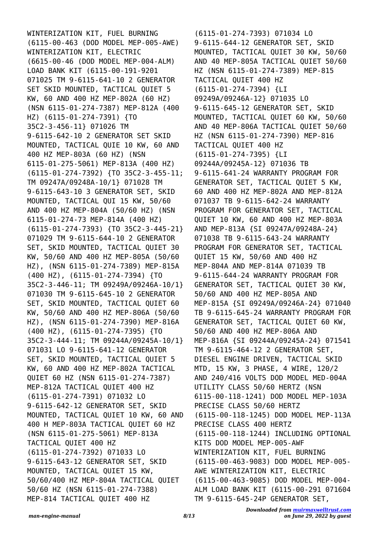WINTERIZATION KIT, FUEL BURNING (6115-00-463 (DOD MODEL MEP-005-AWE) WINTERIZATION KIT, ELECTRIC (6615-00-46 (DOD MODEL MEP-004-ALM) LOAD BANK KIT (6115-00-191-9201 071025 TM 9-6115-641-10 2 GENERATOR SET SKID MOUNTED, TACTICAL QUIET 5 KW, 60 AND 400 HZ MEP-802A (60 HZ) (NSN 6115-01-274-7387) MEP-812A (400 HZ) (6115-01-274-7391) {TO 35C2-3-456-11} 071026 TM 9-6115-642-10 2 GENERATOR SET SKID MOUNTED, TACTICAL QUIE 10 KW, 60 AND 400 HZ MEP-803A (60 HZ) (NSN 6115-01-275-5061) MEP-813A (400 HZ) (6115-01-274-7392) {TO 35C2-3-455-11; TM 09247A/09248A-10/1} 071028 TM 9-6115-643-10 3 GENERATOR SET, SKID MOUNTED, TACTICAL QUI 15 KW, 50/60 AND 400 HZ MEP-804A (50/60 HZ) (NSN 6115-01-274-73 MEP-814A (400 HZ) (6115-01-274-7393) {TO 35C2-3-445-21} 071029 TM 9-6115-644-10 2 GENERATOR SET, SKID MOUNTED, TACTICAL QUIET 30 KW, 50/60 AND 400 HZ MEP-805A (50/60 HZ), (NSN 6115-01-274-7389) MEP-815A (400 HZ), (6115-01-274-7394) {TO 35C2-3-446-11; TM 09249A/09246A-10/1} 071030 TM 9-6115-645-10 2 GENERATOR SET, SKID MOUNTED, TACTICAL QUIET 60 KW, 50/60 AND 400 HZ MEP-806A (50/60 HZ), (NSN 6115-01-274-7390) MEP-816A (400 HZ), (6115-01-274-7395) {TO 35C2-3-444-11; TM 09244A/09245A-10/1} 071031 LO 9-6115-641-12 GENERATOR SET, SKID MOUNTED, TACTICAL QUIET 5 KW, 60 AND 400 HZ MEP-802A TACTICAL QUIET 60 HZ (NSN 6115-01-274-7387) MEP-812A TACTICAL QUIET 400 HZ (6115-01-274-7391) 071032 LO 9-6115-642-12 GENERATOR SET, SKID MOUNTED, TACTICAL QUIET 10 KW, 60 AND 400 H MEP-803A TACTICAL QUIET 60 HZ (NSN 6115-01-275-5061) MEP-813A TACTICAL QUIET 400 HZ (6115-01-274-7392) 071033 LO 9-6115-643-12 GENERATOR SET, SKID MOUNTED, TACTICAL QUIET 15 KW, 50/60/400 HZ MEP-804A TACTICAL QUIET 50/60 HZ (NSN 6115-01-274-7388) MEP-814 TACTICAL QUIET 400 HZ

(6115-01-274-7393) 071034 LO 9-6115-644-12 GENERATOR SET, SKID MOUNTED, TACTICAL QUIET 30 KW, 50/60 AND 40 MEP-805A TACTICAL QUIET 50/60 HZ (NSN 6115-01-274-7389) MEP-815 TACTICAL QUIET 400 HZ (6115-01-274-7394) {LI 09249A/09246A-12} 071035 LO 9-6115-645-12 GENERATOR SET, SKID MOUNTED, TACTICAL QUIET 60 KW, 50/60 AND 40 MEP-806A TACTICAL QUIET 50/60 HZ (NSN 6115-01-274-7390) MEP-816 TACTICAL QUIET 400 HZ (6115-01-274-7395) {LI 09244A/09245A-12} 071036 TB 9-6115-641-24 WARRANTY PROGRAM FOR GENERATOR SET, TACTICAL QUIET 5 KW, 60 AND 400 HZ MEP-802A AND MEP-812A 071037 TB 9-6115-642-24 WARRANTY PROGRAM FOR GENERATOR SET, TACTICAL QUIET 10 KW, 60 AND 400 HZ MEP-803A AND MEP-813A {SI 09247A/09248A-24} 071038 TB 9-6115-643-24 WARRANTY PROGRAM FOR GENERATOR SET, TACTICAL QUIET 15 KW, 50/60 AND 400 HZ MEP-804A AND MEP-814A 071039 TB 9-6115-644-24 WARRANTY PROGRAM FOR GENERATOR SET, TACTICAL QUIET 30 KW, 50/60 AND 400 HZ MEP-805A AND MEP-815A {SI 09249A/09246A-24} 071040 TB 9-6115-645-24 WARRANTY PROGRAM FOR GENERATOR SET, TACTICAL QUIET 60 KW, 50/60 AND 400 HZ MEP-806A AND MEP-816A {SI 09244A/09245A-24} 071541 TM 9-6115-464-12 2 GENERATOR SET, DIESEL ENGINE DRIVEN, TACTICAL SKID MTD, 15 KW, 3 PHASE, 4 WIRE, 120/2 AND 240/416 VOLTS DOD MODEL MED-004A UTILITY CLASS 50/60 HERTZ (NSN 6115-00-118-1241) DOD MODEL MEP-103A PRECISE CLASS 50/60 HERTZ (6115-00-118-1245) DOD MODEL MEP-113A PRECISE CLASS 400 HERTZ (6115-00-118-1244) INCLUDING OPTIONAL KITS DOD MODEL MEP-005-AWF WINTERIZATION KIT, FUEL BURNING (6115-00-463-9083) DOD MODEL MEP-005- AWE WINTERIZATION KIT, ELECTRIC (6115-00-463-9085) DOD MODEL MEP-004- ALM LOAD BANK KIT (6115-00-291 071604 TM 9-6115-645-24P GENERATOR SET,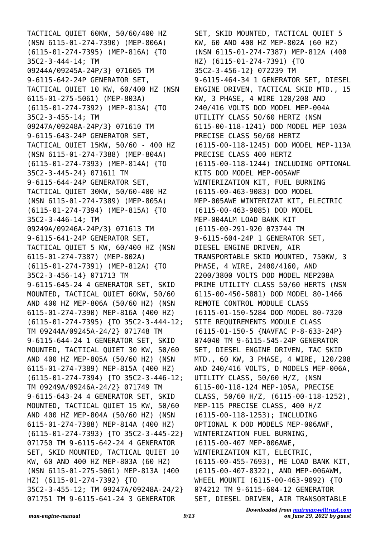TACTICAL QUIET 60KW, 50/60/400 HZ (NSN 6115-01-274-7390) (MEP-806A) (6115-01-274-7395) (MEP-816A) {TO 35C2-3-444-14; TM 09244A/09245A-24P/3} 071605 TM 9-6115-642-24P GENERATOR SET, TACTICAL QUIET 10 KW, 60/400 HZ (NSN 6115-01-275-5061) (MEP-803A) (6115-01-274-7392) (MEP-813A) {TO 35C2-3-455-14; TM 09247A/09248A-24P/3} 071610 TM 9-6115-643-24P GENERATOR SET, TACTICAL QUIET 15KW, 50/60 - 400 HZ (NSN 6115-01-274-7388) (MEP-804A) (6115-01-274-7393) (MEP-814A) {TO 35C2-3-445-24} 071611 TM 9-6115-644-24P GENERATOR SET, TACTICAL QUIET 30KW, 50/60-400 HZ (NSN 6115-01-274-7389) (MEP-805A) (6115-01-274-7394) (MEP-815A) {TO 35C2-3-446-14; TM 09249A/09246A-24P/3} 071613 TM 9-6115-641-24P GENERATOR SET, TACTICAL QUIET 5 KW, 60/400 HZ (NSN 6115-01-274-7387) (MEP-802A) (6115-01-274-7391) (MEP-812A) {TO 35C2-3-456-14} 071713 TM 9-6115-645-24 4 GENERATOR SET, SKID MOUNTED, TACTICAL QUIET 60KW, 50/60 AND 400 HZ MEP-806A (50/60 HZ) (NSN 6115-01-274-7390) MEP-816A (400 HZ) (6115-01-274-7395) {TO 35C2-3-444-12; TM 09244A/09245A-24/2} 071748 TM 9-6115-644-24 1 GENERATOR SET, SKID MOUNTED, TACTICAL QUIET 30 KW, 50/60 AND 400 HZ MEP-805A (50/60 HZ) (NSN 6115-01-274-7389) MEP-815A (400 HZ) (6115-01-274-7394) {TO 35C2-3-446-12; TM 09249A/09246A-24/2} 071749 TM 9-6115-643-24 4 GENERATOR SET, SKID MOUNTED, TACTICAL QUIET 15 KW, 50/60 AND 400 HZ MEP-804A (50/60 HZ) (NSN 6115-01-274-7388) MEP-814A (400 HZ) (6115-01-274-7393) {TO 35C2-3-445-22} 071750 TM 9-6115-642-24 4 GENERATOR SET, SKID MOUNTED, TACTICAL QUIET 10 KW, 60 AND 400 HZ MEP-803A (60 HZ) (NSN 6115-01-275-5061) MEP-813A (400 HZ) (6115-01-274-7392) {TO 35C2-3-455-12; TM 09247A/09248A-24/2} 071751 TM 9-6115-641-24 3 GENERATOR

SET, SKID MOUNTED, TACTICAL QUIET 5 KW, 60 AND 400 HZ MEP-802A (60 HZ) (NSN 6115-01-274-7387) MEP-812A (400 HZ) (6115-01-274-7391) {TO 35C2-3-456-12} 072239 TM 9-6115-464-34 1 GENERATOR SET, DIESEL ENGINE DRIVEN, TACTICAL SKID MTD., 15 KW, 3 PHASE, 4 WIRE 120/208 AND 240/416 VOLTS DOD MODEL MEP-004A UTILITY CLASS 50/60 HERTZ (NSN 6115-00-118-1241) DOD MODEL MEP 103A PRECISE CLASS 50/60 HERTZ (6115-00-118-1245) DOD MODEL MEP-113A PRECISE CLASS 400 HERTZ (6115-00-118-1244) INCLUDING OPTIONAL KITS DOD MODEL MEP-005AWF WINTERIZATION KIT, FUEL BURNING (6115-00-463-9083) DOD MODEL MEP-005AWE WINTERIZAT KIT, ELECTRIC (6115-00-463-9085) DOD MODEL MEP-004ALM LOAD BANK KIT (6115-00-291-920 073744 TM 9-6115-604-24P 1 GENERATOR SET, DIESEL ENGINE DRIVEN, AIR TRANSPORTABLE SKID MOUNTED, 750KW, 3 PHASE, 4 WIRE, 2400/4160, AND 2200/3800 VOLTS DOD MODEL MEP208A PRIME UTILITY CLASS 50/60 HERTS (NSN 6115-00-450-5881) DOD MODEL 80-1466 REMOTE CONTROL MODULE CLASS (6115-01-150-5284 DOD MODEL 80-7320 SITE REQUIREMENTS MODULE CLASS (6115-01-150-5 {NAVFAC P-8-633-24P} 074040 TM 9-6115-545-24P GENERATOR SET, DIESEL ENGINE DRIVEN, TAC SKID MTD., 60 KW, 3 PHASE, 4 WIRE, 120/208 AND 240/416 VOLTS, D MODELS MEP-006A, UTILITY CLASS, 50/60 H/Z, (NSN 6115-00-118-124 MEP-105A, PRECISE CLASS, 50/60 H/Z, (6115-00-118-1252), MEP-115 PRECISE CLASS, 400 H/Z (6115-00-118-1253); INCLUDING OPTIONAL K DOD MODELS MEP-006AWF, WINTERIZATION FUEL BURNING, (6115-00-407 MEP-006AWE, WINTERIZATION KIT, ELECTRIC, (6115-00-455-7693), ME LOAD BANK KIT, (6115-00-407-8322), AND MEP-006AWM, WHEEL MOUNTI (6115-00-463-9092) {TO 074212 TM 9-6115-604-12 GENERATOR SET, DIESEL DRIVEN, AIR TRANSORTABLE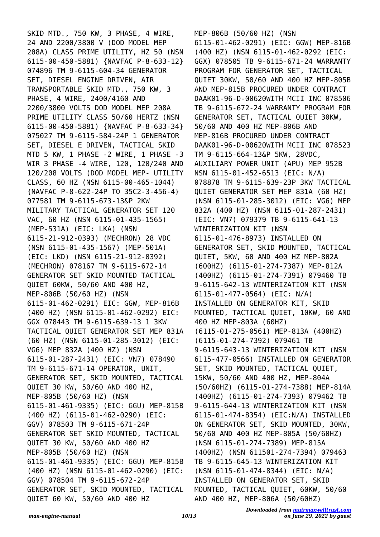SKID MTD., 750 KW, 3 PHASE, 4 WIRE, 24 AND 2200/3800 V (DOD MODEL MEP 208A) CLASS PRIME UTILITY, HZ 50 (NSN 6115-00-450-5881) {NAVFAC P-8-633-12} 074896 TM 9-6115-604-34 GENERATOR SET, DIESEL ENGINE DRIVEN, AIR TRANSPORTABLE SKID MTD., 750 KW, 3 PHASE, 4 WIRE, 2400/4160 AND 2200/3800 VOLTS DOD MODEL MEP 208A PRIME UTILITY CLASS 50/60 HERTZ (NSN 6115-00-450-5881) {NAVFAC P-8-633-34} 075027 TM 9-6115-584-24P 1 GENERATOR SET, DIESEL E DRIVEN, TACTICAL SKID MTD 5 KW, 1 PHASE -2 WIRE, 1 PHASE -3 WIR 3 PHASE -4 WIRE, 120, 120/240 AND 120/208 VOLTS (DOD MODEL MEP- UTILITY CLASS, 60 HZ (NSN 6115-00-465-1044) {NAVFAC P-8-622-24P TO 35C2-3-456-4} 077581 TM 9-6115-673-13&P 2KW MILITARY TACTICAL GENERATOR SET 120 VAC, 60 HZ (NSN 6115-01-435-1565) (MEP-531A) (EIC: LKA) (NSN 6115-21-912-0393) (MECHRON) 28 VDC (NSN 6115-01-435-1567) (MEP-501A) (EIC: LKD) (NSN 6115-21-912-0392) (MECHRON) 078167 TM 9-6115-672-14 GENERATOR SET SKID MOUNTED TACTICAL QUIET 60KW, 50/60 AND 400 HZ, MEP-806B (50/60 HZ) (NSN 6115-01-462-0291) EIC: GGW, MEP-816B (400 HZ) (NSN 6115-01-462-0292) EIC: GGX 078443 TM 9-6115-639-13 1 3KW TACTICAL QUIET GENERATOR SET MEP 831A (60 HZ) (NSN 6115-01-285-3012) (EIC: VG6) MEP 832A (400 HZ) (NSN 6115-01-287-2431) (EIC: VN7) 078490 TM 9-6115-671-14 OPERATOR, UNIT, GENERATOR SET, SKID MOUNTED, TACTICAL QUIET 30 KW, 50/60 AND 400 HZ, MEP-805B (50/60 HZ) (NSN 6115-01-461-9335) (EIC: GGU) MEP-815B (400 HZ) (6115-01-462-0290) (EIC: GGV) 078503 TM 9-6115-671-24P GENERATOR SET SKID MOUNTED, TACTICAL QUIET 30 KW, 50/60 AND 400 HZ MEP-805B (50/60 HZ) (NSN 6115-01-461-9335) (EIC: GGU) MEP-815B (400 HZ) (NSN 6115-01-462-0290) (EIC: GGV) 078504 TM 9-6115-672-24P GENERATOR SET, SKID MOUNTED, TACTICAL QUIET 60 KW, 50/60 AND 400 HZ

MEP-806B (50/60 HZ) (NSN 6115-01-462-0291) (EIC: GGW) MEP-816B (400 HZ) (NSN 6115-01-462-0292 (EIC: GGX) 078505 TB 9-6115-671-24 WARRANTY PROGRAM FOR GENERATOR SET, TACTICAL QUIET 30KW, 50/60 AND 400 HZ MEP-805B AND MEP-815B PROCURED UNDER CONTRACT DAAK01-96-D-00620WITH MCII INC 078506 TB 9-6115-672-24 WARRANTY PROGRAM FOR GENERATOR SET, TACTICAL QUIET 30KW, 50/60 AND 400 HZ MEP-806B AND MEP-816B PROCURED UNDER CONTRACT DAAK01-96-D-00620WITH MCII INC 078523 TM 9-6115-664-13&P 5KW, 28VDC, AUXILIARY POWER UNIT (APU) MEP 952B NSN 6115-01-452-6513 (EIC: N/A) 078878 TM 9-6115-639-23P 3KW TACTICAL QUIET GENERATOR SET MEP 831A (60 HZ) (NSN 6115-01-285-3012) (EIC: VG6) MEP 832A (400 HZ) (NSN 6115-01-287-2431) (EIC: VN7) 079379 TB 9-6115-641-13 WINTERIZATION KIT (NSN 6115-01-476-8973) INSTALLED ON GENERATOR SET, SKID MOUNTED, TACTICAL QUIET, 5KW, 60 AND 400 HZ MEP-802A (600HZ) (6115-01-274-7387) MEP-812A (400HZ) (6115-01-274-7391) 079460 TB 9-6115-642-13 WINTERIZATION KIT (NSN 6115-01-477-0564) (EIC: N/A) INSTALLED ON GENERATOR KIT, SKID MOUNTED, TACTICAL QUIET, 10KW, 60 AND 400 HZ MEP-803A (60HZ) (6115-01-275-0561) MEP-813A (400HZ) (6115-01-274-7392) 079461 TB 9-6115-643-13 WINTERIZATION KIT (NSN 6115-477-0566) INSTALLED ON GENERATOR SET, SKID MOUNTED, TACTICAL QUIET, 15KW, 50/60 AND 400 HZ, MEP-804A (50/60HZ) (6115-01-274-7388) MEP-814A (400HZ) (6115-01-274-7393) 079462 TB 9-6115-644-13 WINTERIZATION KIT (NSN 6115-01-474-8354) (EIC:N/A) INSTALLED ON GENERATOR SET, SKID MOUNTED, 30KW, 50/60 AND 400 HZ MEP-805A (50/60HZ) (NSN 6115-01-274-7389) MEP-815A (400HZ) (NSN 611501-274-7394) 079463 TB 9-6115-645-13 WINTERIZATION KIT (NSN 6115-01-474-8344) (EIC: N/A) INSTALLED ON GENERATOR SET, SKID MOUNTED, TACTICAL QUIET, 60KW, 50/60 AND 400 HZ, MEP-806A (50/60HZ)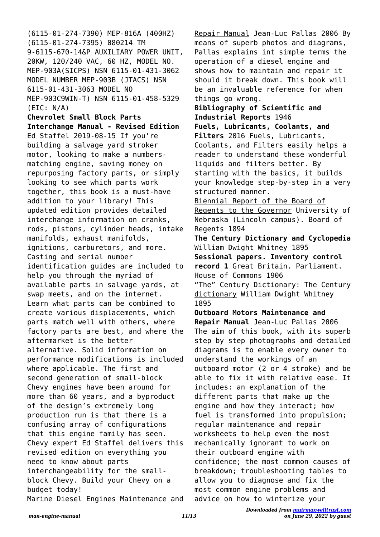(6115-01-274-7390) MEP-816A (400HZ) (6115-01-274-7395) 080214 TM 9-6115-670-14&P AUXILIARY POWER UNIT, 20KW, 120/240 VAC, 60 HZ, MODEL NO. MEP-903A(SICPS) NSN 6115-01-431-3062 MODEL NUMBER MEP-903B (JTACS) NSN 6115-01-431-3063 MODEL NO MEP-903C9WIN-T) NSN 6115-01-458-5329 (EIC: N/A) **Chevrolet Small Block Parts Interchange Manual - Revised Edition** Ed Staffel 2019-08-15 If you're building a salvage yard stroker motor, looking to make a numbersmatching engine, saving money on repurposing factory parts, or simply looking to see which parts work together, this book is a must-have addition to your library! This updated edition provides detailed interchange information on cranks, rods, pistons, cylinder heads, intake manifolds, exhaust manifolds, ignitions, carburetors, and more. Casting and serial number identification guides are included to help you through the myriad of available parts in salvage yards, at swap meets, and on the internet. Learn what parts can be combined to create various displacements, which parts match well with others, where factory parts are best, and where the aftermarket is the better alternative. Solid information on performance modifications is included where applicable. The first and second generation of small-block Chevy engines have been around for more than 60 years, and a byproduct of the design's extremely long production run is that there is a confusing array of configurations that this engine family has seen. Chevy expert Ed Staffel delivers this revised edition on everything you need to know about parts interchangeability for the smallblock Chevy. Build your Chevy on a budget today! Marine Diesel Engines Maintenance and

Repair Manual Jean-Luc Pallas 2006 By means of superb photos and diagrams, Pallas explains int simple terms the operation of a diesel engine and shows how to maintain and repair it should it break down. This book will be an invaluable reference for when things go wrong. **Bibliography of Scientific and Industrial Reports** 1946 **Fuels, Lubricants, Coolants, and Filters** 2016 Fuels, Lubricants, Coolants, and Filters easily helps a reader to understand these wonderful liquids and filters better. By starting with the basics, it builds your knowledge step-by-step in a very structured manner. Biennial Report of the Board of Regents to the Governor University of Nebraska (Lincoln campus). Board of Regents 1894 **The Century Dictionary and Cyclopedia** William Dwight Whitney 1895 **Sessional papers. Inventory control record 1** Great Britain. Parliament. House of Commons 1906 "The" Century Dictionary: The Century dictionary William Dwight Whitney 1895 **Outboard Motors Maintenance and Repair Manual** Jean-Luc Pallas 2006 The aim of this book, with its superb step by step photographs and detailed diagrams is to enable every owner to understand the workings of an outboard motor (2 or 4 stroke) and be able to fix it with relative ease. It includes: an explanation of the different parts that make up the engine and how they interact; how fuel is transformed into propulsion; regular maintenance and repair worksheets to help even the most mechanically ignorant to work on their outboard engine with

confidence; the most common causes of breakdown; troubleshooting tables to allow you to diagnose and fix the most common engine problems and advice on how to winterize your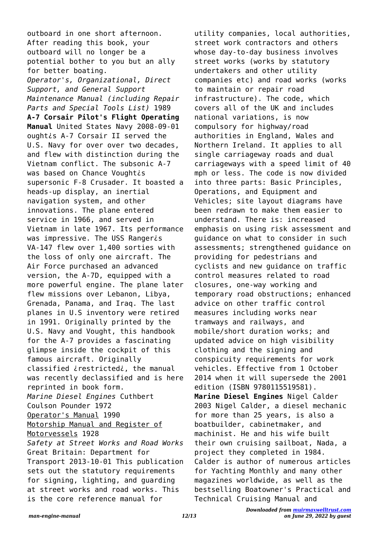outboard in one short afternoon. After reading this book, your outboard will no longer be a potential bother to you but an ally for better boating. *Operator's, Organizational, Direct Support, and General Support Maintenance Manual (including Repair Parts and Special Tools List)* 1989 **A-7 Corsair Pilot's Flight Operating Manual** United States Navy 2008-09-01 ought¿s A-7 Corsair II served the U.S. Navy for over over two decades, and flew with distinction during the Vietnam conflict. The subsonic A-7 was based on Chance Voughtis supersonic F-8 Crusader. It boasted a heads-up display, an inertial navigation system, and other innovations. The plane entered service in 1966, and served in Vietnam in late 1967. Its performance was impressive. The USS Rangeris VA-147 flew over 1,400 sorties with the loss of only one aircraft. The Air Force purchased an advanced version, the A-7D, equipped with a more powerful engine. The plane later flew missions over Lebanon, Libya, Grenada, Panama, and Iraq. The last planes in U.S inventory were retired in 1991. Originally printed by the U.S. Navy and Vought, this handbook for the A-7 provides a fascinating glimpse inside the cockpit of this famous aircraft. Originally classified ¿restricted¿, the manual was recently declassified and is here reprinted in book form. *Marine Diesel Engines* Cuthbert Coulson Pounder 1972 Operator's Manual 1990 Motorship Manual and Register of Motorvessels 1928 *Safety at Street Works and Road Works* Great Britain: Department for Transport 2013-10-01 This publication sets out the statutory requirements for signing, lighting, and guarding at street works and road works. This is the core reference manual for

utility companies, local authorities, street work contractors and others whose day-to-day business involves street works (works by statutory undertakers and other utility companies etc) and road works (works to maintain or repair road infrastructure). The code, which covers all of the UK and includes national variations, is now compulsory for highway/road authorities in England, Wales and Northern Ireland. It applies to all single carriageway roads and dual carriageways with a speed limit of 40 mph or less. The code is now divided into three parts: Basic Principles, Operations, and Equipment and Vehicles; site layout diagrams have been redrawn to make them easier to understand. There is: increased emphasis on using risk assessment and guidance on what to consider in such assessments; strengthened guidance on providing for pedestrians and cyclists and new guidance on traffic control measures related to road closures, one-way working and temporary road obstructions; enhanced advice on other traffic control measures including works near tramways and railways, and mobile/short duration works; and updated advice on high visibility clothing and the signing and conspicuity requirements for work vehicles. Effective from 1 October 2014 when it will supersede the 2001 edition (ISBN 9780115519581). **Marine Diesel Engines** Nigel Calder 2003 Nigel Calder, a diesel mechanic for more than 25 years, is also a boatbuilder, cabinetmaker, and machinist. He and his wife built their own cruising sailboat, Nada, a project they completed in 1984. Calder is author of numerous articles for Yachting Monthly and many other magazines worldwide, as well as the bestselling Boatowner's Practical and Technical Cruising Manual and